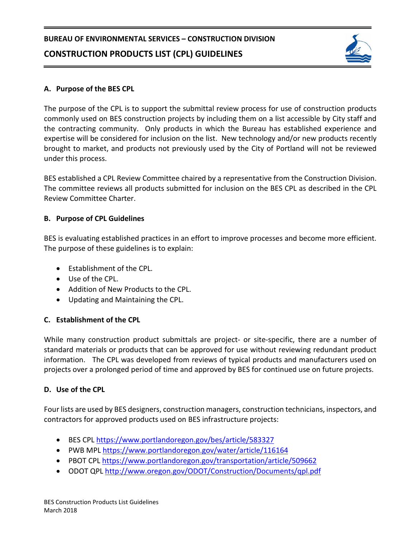

## **A. Purpose of the BES CPL**

The purpose of the CPL is to support the submittal review process for use of construction products commonly used on BES construction projects by including them on a list accessible by City staff and the contracting community. Only products in which the Bureau has established experience and expertise will be considered for inclusion on the list. New technology and/or new products recently brought to market, and products not previously used by the City of Portland will not be reviewed under this process.

BES established a CPL Review Committee chaired by a representative from the Construction Division. The committee reviews all products submitted for inclusion on the BES CPL as described in the CPL Review Committee Charter.

## **B. Purpose of CPL Guidelines**

BES is evaluating established practices in an effort to improve processes and become more efficient. The purpose of these guidelines is to explain:

- Establishment of the CPL.
- Use of the CPL.
- Addition of New Products to the CPL.
- Updating and Maintaining the CPL.

# **C. Establishment of the CPL**

While many construction product submittals are project- or site-specific, there are a number of standard materials or products that can be approved for use without reviewing redundant product information. The CPL was developed from reviews of typical products and manufacturers used on projects over a prolonged period of time and approved by BES for continued use on future projects.

# **D. Use of the CPL**

Four lists are used by BES designers, construction managers, construction technicians, inspectors, and contractors for approved products used on BES infrastructure projects:

- BES CPL<https://www.portlandoregon.gov/bes/article/583327>
- PWB MPL<https://www.portlandoregon.gov/water/article/116164>
- PBOT CPL<https://www.portlandoregon.gov/transportation/article/509662>
- ODOT QP[L http://www.oregon.gov/ODOT/Construction/Documents/qpl.pdf](http://www.oregon.gov/ODOT/Construction/Documents/qpl.pdf)